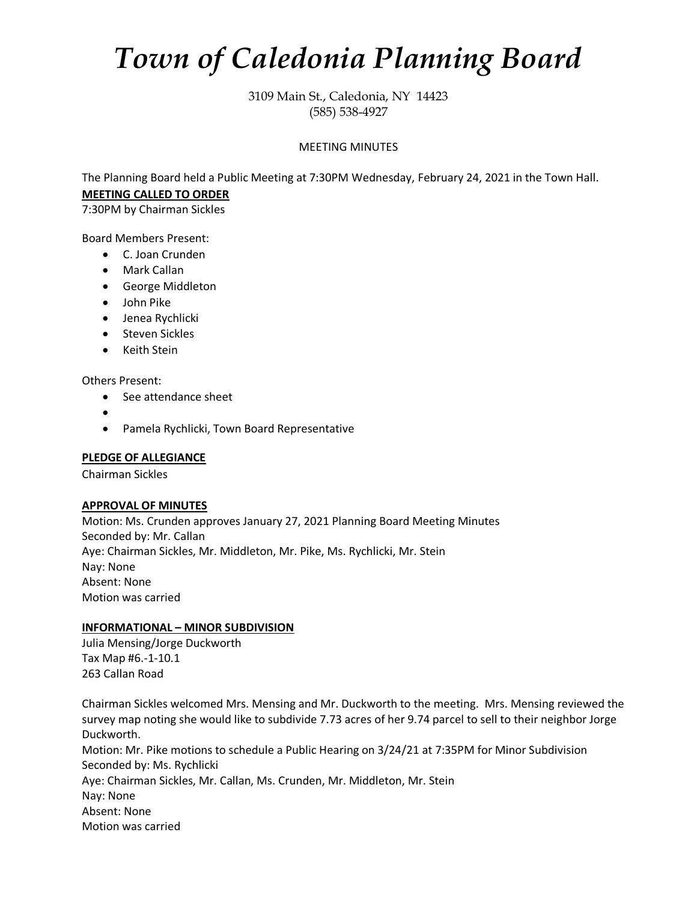# *Town of Caledonia Planning Board*

3109 Main St., Caledonia, NY 14423 (585) 538-4927

# MEETING MINUTES

The Planning Board held a Public Meeting at 7:30PM Wednesday, February 24, 2021 in the Town Hall. **MEETING CALLED TO ORDER**

7:30PM by Chairman Sickles

Board Members Present:

- C. Joan Crunden
- Mark Callan
- George Middleton
- John Pike
- Jenea Rychlicki
- Steven Sickles
- Keith Stein

Others Present:

- See attendance sheet
- •
- Pamela Rychlicki, Town Board Representative

#### **PLEDGE OF ALLEGIANCE**

Chairman Sickles

#### **APPROVAL OF MINUTES**

Motion: Ms. Crunden approves January 27, 2021 Planning Board Meeting Minutes Seconded by: Mr. Callan Aye: Chairman Sickles, Mr. Middleton, Mr. Pike, Ms. Rychlicki, Mr. Stein Nay: None Absent: None Motion was carried

#### **INFORMATIONAL – MINOR SUBDIVISION**

Julia Mensing/Jorge Duckworth Tax Map #6.-1-10.1 263 Callan Road

Chairman Sickles welcomed Mrs. Mensing and Mr. Duckworth to the meeting. Mrs. Mensing reviewed the survey map noting she would like to subdivide 7.73 acres of her 9.74 parcel to sell to their neighbor Jorge Duckworth. Motion: Mr. Pike motions to schedule a Public Hearing on 3/24/21 at 7:35PM for Minor Subdivision Seconded by: Ms. Rychlicki Aye: Chairman Sickles, Mr. Callan, Ms. Crunden, Mr. Middleton, Mr. Stein Nay: None Absent: None Motion was carried